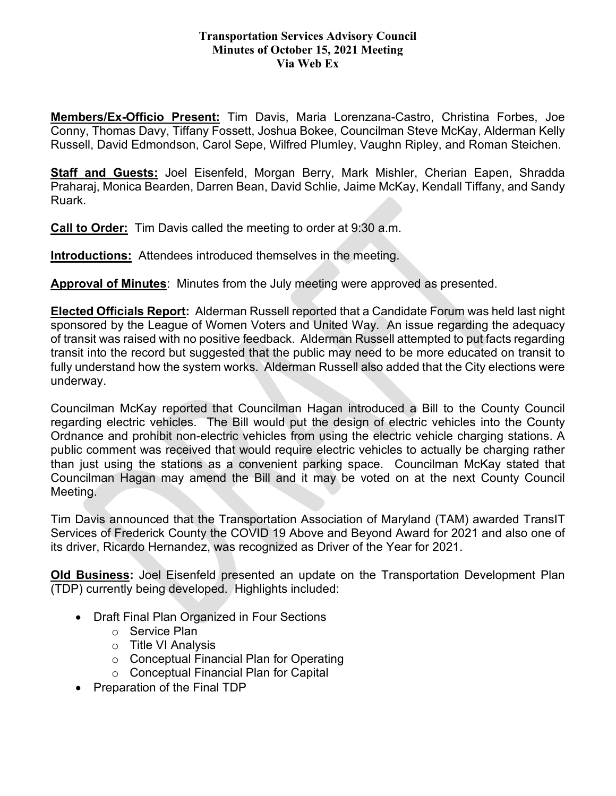## **Transportation Services Advisory Council Minutes of October 15, 2021 Meeting Via Web Ex**

**Members/Ex-Officio Present:** Tim Davis, Maria Lorenzana-Castro, Christina Forbes, Joe Conny, Thomas Davy, Tiffany Fossett, Joshua Bokee, Councilman Steve McKay, Alderman Kelly Russell, David Edmondson, Carol Sepe, Wilfred Plumley, Vaughn Ripley, and Roman Steichen.

**Staff and Guests:** Joel Eisenfeld, Morgan Berry, Mark Mishler, Cherian Eapen, Shradda Praharaj, Monica Bearden, Darren Bean, David Schlie, Jaime McKay, Kendall Tiffany, and Sandy Ruark.

**Call to Order:** Tim Davis called the meeting to order at 9:30 a.m.

**Introductions:** Attendees introduced themselves in the meeting.

**Approval of Minutes**: Minutes from the July meeting were approved as presented.

**Elected Officials Report:** Alderman Russell reported that a Candidate Forum was held last night sponsored by the League of Women Voters and United Way. An issue regarding the adequacy of transit was raised with no positive feedback. Alderman Russell attempted to put facts regarding transit into the record but suggested that the public may need to be more educated on transit to fully understand how the system works. Alderman Russell also added that the City elections were underway.

Councilman McKay reported that Councilman Hagan introduced a Bill to the County Council regarding electric vehicles. The Bill would put the design of electric vehicles into the County Ordnance and prohibit non-electric vehicles from using the electric vehicle charging stations. A public comment was received that would require electric vehicles to actually be charging rather than just using the stations as a convenient parking space. Councilman McKay stated that Councilman Hagan may amend the Bill and it may be voted on at the next County Council Meeting.

Tim Davis announced that the Transportation Association of Maryland (TAM) awarded TransIT Services of Frederick County the COVID 19 Above and Beyond Award for 2021 and also one of its driver, Ricardo Hernandez, was recognized as Driver of the Year for 2021.

**Old Business:** Joel Eisenfeld presented an update on the Transportation Development Plan (TDP) currently being developed. Highlights included:

- Draft Final Plan Organized in Four Sections
	- o Service Plan
	- o Title VI Analysis
	- o Conceptual Financial Plan for Operating
	- o Conceptual Financial Plan for Capital
- Preparation of the Final TDP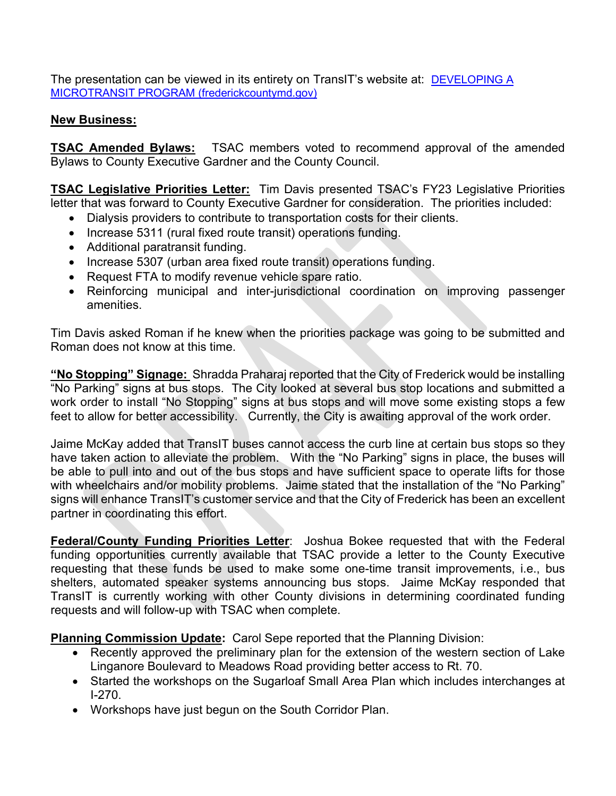The presentation can be viewed in its entirety on TransIT's website at: [DEVELOPING A](https://www.frederickcountymd.gov/DocumentCenter/View/334202/Frederick-TransIT-TDP-TSAC-Meeting-10-15-21)  [MICROTRANSIT PROGRAM \(frederickcountymd.gov\)](https://www.frederickcountymd.gov/DocumentCenter/View/334202/Frederick-TransIT-TDP-TSAC-Meeting-10-15-21)

## **New Business:**

**TSAC Amended Bylaws:** TSAC members voted to recommend approval of the amended Bylaws to County Executive Gardner and the County Council.

**TSAC Legislative Priorities Letter:** Tim Davis presented TSAC's FY23 Legislative Priorities letter that was forward to County Executive Gardner for consideration. The priorities included:

- Dialysis providers to contribute to transportation costs for their clients.
- Increase 5311 (rural fixed route transit) operations funding.
- Additional paratransit funding.
- Increase 5307 (urban area fixed route transit) operations funding.
- Request FTA to modify revenue vehicle spare ratio.
- Reinforcing municipal and inter-jurisdictional coordination on improving passenger amenities.

Tim Davis asked Roman if he knew when the priorities package was going to be submitted and Roman does not know at this time.

**"No Stopping" Signage:** Shradda Praharaj reported that the City of Frederick would be installing "No Parking" signs at bus stops. The City looked at several bus stop locations and submitted a work order to install "No Stopping" signs at bus stops and will move some existing stops a few feet to allow for better accessibility. Currently, the City is awaiting approval of the work order.

Jaime McKay added that TransIT buses cannot access the curb line at certain bus stops so they have taken action to alleviate the problem. With the "No Parking" signs in place, the buses will be able to pull into and out of the bus stops and have sufficient space to operate lifts for those with wheelchairs and/or mobility problems. Jaime stated that the installation of the "No Parking" signs will enhance TransIT's customer service and that the City of Frederick has been an excellent partner in coordinating this effort.

**Federal/County Funding Priorities Letter**: Joshua Bokee requested that with the Federal funding opportunities currently available that TSAC provide a letter to the County Executive requesting that these funds be used to make some one-time transit improvements, i.e., bus shelters, automated speaker systems announcing bus stops. Jaime McKay responded that TransIT is currently working with other County divisions in determining coordinated funding requests and will follow-up with TSAC when complete.

**Planning Commission Update:** Carol Sepe reported that the Planning Division:

- Recently approved the preliminary plan for the extension of the western section of Lake Linganore Boulevard to Meadows Road providing better access to Rt. 70.
- Started the workshops on the Sugarloaf Small Area Plan which includes interchanges at I-270.
- Workshops have just begun on the South Corridor Plan.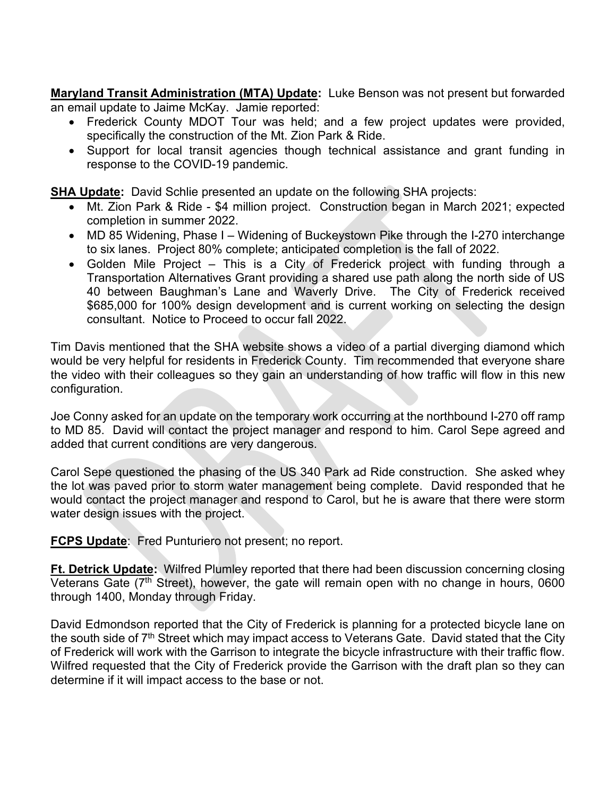**Maryland Transit Administration (MTA) Update:** Luke Benson was not present but forwarded an email update to Jaime McKay. Jamie reported:

- Frederick County MDOT Tour was held; and a few project updates were provided, specifically the construction of the Mt. Zion Park & Ride.
- Support for local transit agencies though technical assistance and grant funding in response to the COVID-19 pandemic.

**SHA Update:** David Schlie presented an update on the following SHA projects:

- Mt. Zion Park & Ride \$4 million project. Construction began in March 2021; expected completion in summer 2022.
- MD 85 Widening, Phase I Widening of Buckeystown Pike through the I-270 interchange to six lanes. Project 80% complete; anticipated completion is the fall of 2022.
- Golden Mile Project This is a City of Frederick project with funding through a Transportation Alternatives Grant providing a shared use path along the north side of US 40 between Baughman's Lane and Waverly Drive. The City of Frederick received \$685,000 for 100% design development and is current working on selecting the design consultant. Notice to Proceed to occur fall 2022.

Tim Davis mentioned that the SHA website shows a video of a partial diverging diamond which would be very helpful for residents in Frederick County. Tim recommended that everyone share the video with their colleagues so they gain an understanding of how traffic will flow in this new configuration.

Joe Conny asked for an update on the temporary work occurring at the northbound I-270 off ramp to MD 85. David will contact the project manager and respond to him. Carol Sepe agreed and added that current conditions are very dangerous.

Carol Sepe questioned the phasing of the US 340 Park ad Ride construction. She asked whey the lot was paved prior to storm water management being complete. David responded that he would contact the project manager and respond to Carol, but he is aware that there were storm water design issues with the project.

**FCPS Update:** Fred Punturiero not present; no report.

**Ft. Detrick Update:** Wilfred Plumley reported that there had been discussion concerning closing Veterans Gate (7<sup>th</sup> Street), however, the gate will remain open with no change in hours, 0600 through 1400, Monday through Friday.

David Edmondson reported that the City of Frederick is planning for a protected bicycle lane on the south side of 7<sup>th</sup> Street which may impact access to Veterans Gate. David stated that the City of Frederick will work with the Garrison to integrate the bicycle infrastructure with their traffic flow. Wilfred requested that the City of Frederick provide the Garrison with the draft plan so they can determine if it will impact access to the base or not.